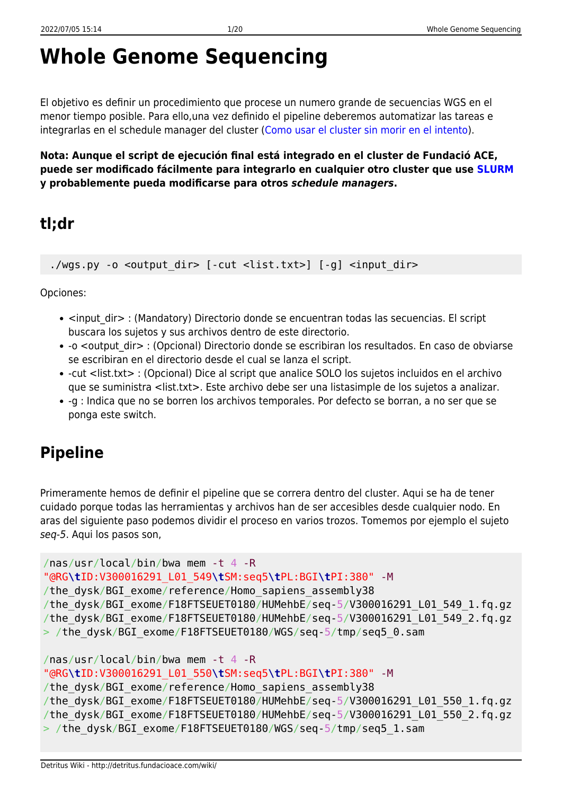# **Whole Genome Sequencing**

El objetivo es definir un procedimiento que procese un numero grande de secuencias WGS en el menor tiempo posible. Para ello,una vez definido el pipeline deberemos automatizar las tareas e integrarlas en el schedule manager del cluster ([Como usar el cluster sin morir en el intento\)](http://detritus.fundacioace.com/wiki/doku.php?id=cluster).

**Nota: Aunque el script de ejecución final está integrado en el cluster de Fundació ACE, puede ser modificado fácilmente para integrarlo en cualquier otro cluster que use [SLURM](https://slurm.schedmd.com/) y probablemente pueda modificarse para otros** *schedule managers***.**

# **tl;dr**

./wgs.py -o <output dir> [-cut <list.txt>] [-g] <input dir>

Opciones:

- <input dir> : (Mandatory) Directorio donde se encuentran todas las secuencias. El script buscara los sujetos y sus archivos dentro de este directorio.
- -o <output dir> : (Opcional) Directorio donde se escribiran los resultados. En caso de obviarse se escribiran en el directorio desde el cual se lanza el script.
- -cut <list.txt> : (Opcional) Dice al script que analice SOLO los sujetos incluidos en el archivo que se suministra <list.txt>. Este archivo debe ser una listasimple de los sujetos a analizar.
- -g : Indica que no se borren los archivos temporales. Por defecto se borran, a no ser que se ponga este switch.

# **Pipeline**

Primeramente hemos de definir el pipeline que se correra dentro del cluster. Aqui se ha de tener cuidado porque todas las herramientas y archivos han de ser accesibles desde cualquier nodo. En aras del siguiente paso podemos dividir el proceso en varios trozos. Tomemos por ejemplo el sujeto seq-5. Aqui los pasos son,

```
/nas/usr/local/bin/bwa mem -t 4 -R
"@RG\tID:V300016291_L01_549\tSM:seq5\tPL:BGI\tPI:380" -M
/the dysk/BGI exome/reference/Homo sapiens assembly38
/the_dysk/BGI_exome/F18FTSEUET0180/HUMehbE/seq-5/V300016291_L01_549_1.fq.gz
/the_dysk/BGI_exome/F18FTSEUET0180/HUMehbE/seq-5/V300016291_L01_549_2.fq.gz
> /the_dysk/BGI_exome/F18FTSEUET0180/WGS/seq-5/tmp/seq5_0.sam
/nas/usr/local/bin/bwa mem -t 4 -R
```

```
"@RG\tID:V300016291_L01_550\tSM:seq5\tPL:BGI\tPI:380" -M
/the dysk/BGI exome/reference/Homo sapiens assembly38
/the_dysk/BGI_exome/F18FTSEUET0180/HUMehbE/seq-5/V300016291_L01_550_1.fq.gz
/the_dysk/BGI_exome/F18FTSEUET0180/HUMehbE/seq-5/V300016291_L01_550_2.fq.gz
> /the_dysk/BGI_exome/F18FTSEUET0180/WGS/seq-5/tmp/seq5_1.sam
```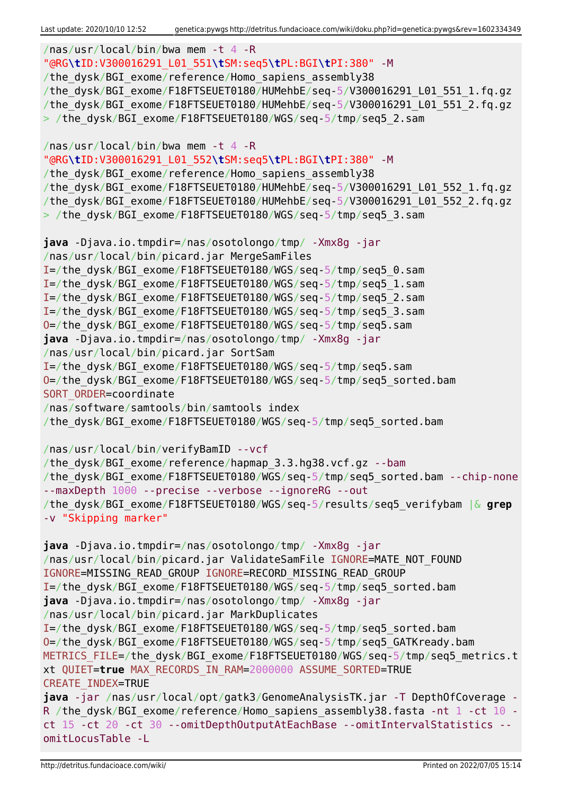```
/nas/usr/local/bin/bwa mem -t 4 -R
"@RG\tID:V300016291_L01_551\tSM:seq5\tPL:BGI\tPI:380" -M
/the dysk/BGI exome/reference/Homo sapiens assembly38
/the_dysk/BGI_exome/F18FTSEUET0180/HUMehbE/seq-5/V300016291_L01_551_1.fq.gz
/the_dysk/BGI_exome/F18FTSEUET0180/HUMehbE/seq-5/V300016291_L01_551_2.fq.gz
> /the dysk/BGI exome/F18FTSEUET0180/WGS/seq-5/tmp/seq5 2.sam
/nas/usr/local/bin/bwa mem -t 4 -R
"@RG\tID:V300016291_L01_552\tSM:seq5\tPL:BGI\tPI:380" -M
/the dysk/BGI exome/reference/Homo sapiens assembly38
/the_dysk/BGI_exome/F18FTSEUET0180/HUMehbE/seq-5/V300016291_L01_552_1.fq.gz
/the_dysk/BGI_exome/F18FTSEUET0180/HUMehbE/seq-5/V300016291_L01_552_2.fq.gz
> /the dysk/BGI exome/F18FTSEUET0180/WGS/seq-5/tmp/seq5 3.sam
java -Djava.io.tmpdir=/nas/osotolongo/tmp/ -Xmx8g -jar
/nas/usr/local/bin/picard.jar MergeSamFiles
I=/the_dysk/BGI_exome/F18FTSEUET0180/WGS/seq-5/tmp/seq5_0.sam
I=/the_dysk/BGI_exome/F18FTSEUET0180/WGS/seq-5/tmp/seq5_1.sam
I=/the_dysk/BGI_exome/F18FTSEUET0180/WGS/seq-5/tmp/seq5_2.sam
I=/the_dysk/BGI_exome/F18FTSEUET0180/WGS/seq-5/tmp/seq5_3.sam
O=/the_dysk/BGI_exome/F18FTSEUET0180/WGS/seq-5/tmp/seq5.sam
java -Djava.io.tmpdir=/nas/osotolongo/tmp/ -Xmx8g -jar
/nas/usr/local/bin/picard.jar SortSam
I=/the_dysk/BGI_exome/F18FTSEUET0180/WGS/seq-5/tmp/seq5.sam
O=/the_dysk/BGI_exome/F18FTSEUET0180/WGS/seq-5/tmp/seq5_sorted.bam
SORT ORDER=coordinate
/nas/software/samtools/bin/samtools index
/the_dysk/BGI_exome/F18FTSEUET0180/WGS/seq-5/tmp/seq5_sorted.bam
/nas/usr/local/bin/verifyBamID --vcf
/the dysk/BGI exome/reference/hapmap 3.3.hg38.vcf.gz --bam
/the_dysk/BGI_exome/F18FTSEUET0180/WGS/seq-5/tmp/seq5_sorted.bam --chip-none
--maxDepth 1000 --precise --verbose --ignoreRG --out
/the_dysk/BGI_exome/F18FTSEUET0180/WGS/seq-5/results/seq5_verifybam |& grep
-v "Skipping marker"
java -Djava.io.tmpdir=/nas/osotolongo/tmp/ -Xmx8g -jar
/nas/usr/local/bin/picard.jar ValidateSamFile IGNORE=MATE NOT FOUND
IGNORE=MISSING_READ_GROUP IGNORE=RECORD_MISSING_READ_GROUP
I=/the_dysk/BGI_exome/F18FTSEUET0180/WGS/seq-5/tmp/seq5_sorted.bam
java -Djava.io.tmpdir=/nas/osotolongo/tmp/ -Xmx8g -jar
/nas/usr/local/bin/picard.jar MarkDuplicates
I=/the_dysk/BGI_exome/F18FTSEUET0180/WGS/seq-5/tmp/seq5_sorted.bam
O=/the_dysk/BGI_exome/F18FTSEUET0180/WGS/seq-5/tmp/seq5_GATKready.bam
METRICS FILE=/the dysk/BGI exome/F18FTSEUET0180/WGS/seq-5/tmp/seq5 metrics.t
xt QUIET=true MAX_RECORDS_IN_RAM=2000000 ASSUME_SORTED=TRUE
CREATE_INDEX=TRUE
java -jar /nas/usr/local/opt/gatk3/GenomeAnalysisTK.jar -T DepthOfCoverage -
R /the dysk/BGI exome/reference/Homo sapiens assembly38.fasta -nt 1 -ct 10 -
ct 15 -ct 20 -ct 30 --omitDepthOutputAtEachBase --omitIntervalStatistics --
omitLocusTable -L
```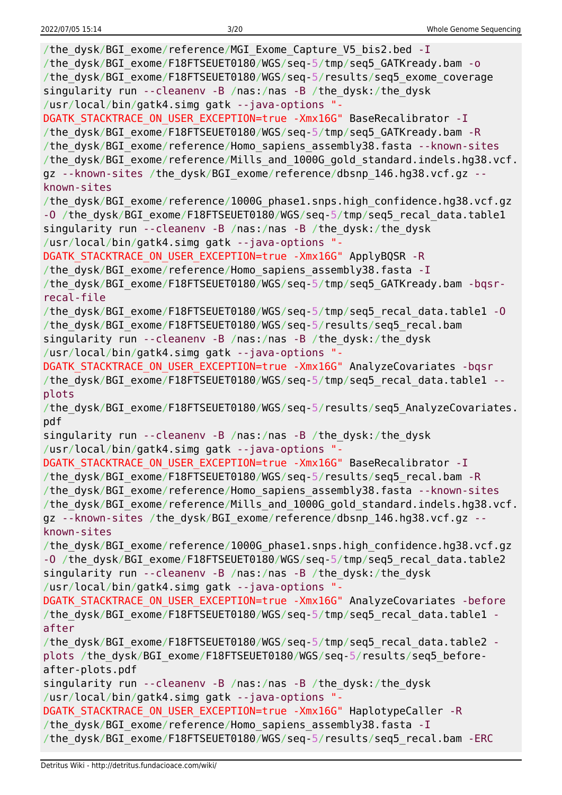| /the dysk/BGI exome/reference/MGI Exome Capture V5 bis2.bed - I<br>/the_dysk/BGI_exome/F18FTSEUET0180/WGS/seq-5/tmp/seq5_GATKready.bam - o<br>/the_dysk/BGI_exome/F18FTSEUET0180/WGS/seq-5/results/seq5_exome_coverage<br>singularity run --cleanenv -B /nas:/nas -B /the dysk:/the dysk<br>/usr/local/bin/gatk4.simg gatk --java-options "-                                            |
|-----------------------------------------------------------------------------------------------------------------------------------------------------------------------------------------------------------------------------------------------------------------------------------------------------------------------------------------------------------------------------------------|
| DGATK STACKTRACE ON USER EXCEPTION=true -Xmx16G" BaseRecalibrator - I<br>/the_dysk/BGI_exome/F18FTSEUET0180/WGS/seq-5/tmp/seq5_GATKready.bam -R<br>/the_dysk/BGI_exome/reference/Homo_sapiens_assembly38.fasta --known-sites<br>/the_dysk/BGI_exome/reference/Mills_and_1000G_gold_standard.indels.hg38.vcf.<br>gz --known-sites /the_dysk/BGI_exome/reference/dbsnp_146.hg38.vcf.gz -- |
| known-sites                                                                                                                                                                                                                                                                                                                                                                             |
| /the_dysk/BGI_exome/reference/1000G_phase1.snps.high_confidence.hg38.vcf.gz<br>-0 /the_dysk/BGI_exome/F18FTSEUET0180/WGS/seq-5/tmp/seq5_recal_data.table1<br>singularity run --cleanenv -B /nas:/nas -B /the_dysk:/the_dysk                                                                                                                                                             |
| /usr/local/bin/gatk4.simg gatk --java-options "-                                                                                                                                                                                                                                                                                                                                        |
| DGATK STACKTRACE ON USER EXCEPTION=true -Xmx16G" ApplyBQSR -R<br>/the_dysk/BGI_exome/reference/Homo_sapiens_assembly38.fasta - I                                                                                                                                                                                                                                                        |
| /the dysk/BGI exome/F18FTSEUET0180/WGS/seq-5/tmp/seq5 GATKready.bam -bqsr-                                                                                                                                                                                                                                                                                                              |
| recal-file                                                                                                                                                                                                                                                                                                                                                                              |
| /the_dysk/BGI_exome/F18FTSEUET0180/WGS/seq-5/tmp/seq5_recal_data.table1 -0                                                                                                                                                                                                                                                                                                              |
| /the_dysk/BGI_exome/F18FTSEUET0180/WGS/seq-5/results/seq5_recal.bam                                                                                                                                                                                                                                                                                                                     |
| singularity run --cleanenv -B /nas:/nas -B /the_dysk:/the_dysk                                                                                                                                                                                                                                                                                                                          |
| /usr/local/bin/gatk4.simg gatk --java-options "-                                                                                                                                                                                                                                                                                                                                        |
| DGATK_STACKTRACE_ON_USER_EXCEPTION=true -Xmx16G" AnalyzeCovariates -bqsr                                                                                                                                                                                                                                                                                                                |
| /the_dysk/BGI_exome/F18FTSEUET0180/WGS/seq-5/tmp/seq5_recal_data.table1 --                                                                                                                                                                                                                                                                                                              |
| plots                                                                                                                                                                                                                                                                                                                                                                                   |
|                                                                                                                                                                                                                                                                                                                                                                                         |
| /the_dysk/BGI_exome/F18FTSEUET0180/WGS/seq-5/results/seq5_AnalyzeCovariates.                                                                                                                                                                                                                                                                                                            |
| pdf                                                                                                                                                                                                                                                                                                                                                                                     |
| singularity run --cleanenv -B /nas:/nas -B /the_dysk:/the_dysk                                                                                                                                                                                                                                                                                                                          |
| /usr/local/bin/gatk4.simg gatk --java-options "-                                                                                                                                                                                                                                                                                                                                        |
| DGATK STACKTRACE ON USER EXCEPTION=true -Xmx16G" BaseRecalibrator -I                                                                                                                                                                                                                                                                                                                    |
| /the_dysk/BGI_exome/F18FTSEUET0180/WGS/seq-5/results/seq5_recal.bam -R                                                                                                                                                                                                                                                                                                                  |
| /the_dysk/BGI_exome/reference/Homo_sapiens_assembly38.fasta --known-sites<br>/the dysk/BGI exome/reference/Mills and 1000G gold standard.indels.hg38.vcf.                                                                                                                                                                                                                               |
| gz --known-sites /the dysk/BGI exome/reference/dbsnp 146.hg38.vcf.gz --                                                                                                                                                                                                                                                                                                                 |
| known-sites                                                                                                                                                                                                                                                                                                                                                                             |
| /the_dysk/BGI_exome/reference/1000G_phase1.snps.high_confidence.hg38.vcf.gz                                                                                                                                                                                                                                                                                                             |
| -0 /the_dysk/BGI_exome/F18FTSEUET0180/WGS/seq-5/tmp/seq5 recal data.table2                                                                                                                                                                                                                                                                                                              |
| singularity run --cleanenv -B /nas:/nas -B /the_dysk:/the_dysk                                                                                                                                                                                                                                                                                                                          |
| /usr/local/bin/gatk4.simg gatk --java-options "-                                                                                                                                                                                                                                                                                                                                        |
| DGATK_STACKTRACE_ON_USER_EXCEPTION=true -Xmx16G" AnalyzeCovariates -before                                                                                                                                                                                                                                                                                                              |
| /the dysk/BGI exome/F18FTSEUET0180/WGS/seq-5/tmp/seq5 recal data.table1 -                                                                                                                                                                                                                                                                                                               |
| after                                                                                                                                                                                                                                                                                                                                                                                   |
| /the_dysk/BGI_exome/F18FTSEUET0180/WGS/seq-5/tmp/seq5_recal_data.table2 -                                                                                                                                                                                                                                                                                                               |
| plots /the_dysk/BGI_exome/F18FTSEUET0180/WGS/seq-5/results/seq5_before-                                                                                                                                                                                                                                                                                                                 |
| after-plots.pdf                                                                                                                                                                                                                                                                                                                                                                         |
| singularity run --cleanenv -B /nas:/nas -B /the dysk:/the dysk<br>/usr/local/bin/gatk4.simg gatk --java-options "-                                                                                                                                                                                                                                                                      |
| DGATK STACKTRACE ON USER EXCEPTION=true -Xmx16G" HaplotypeCaller -R                                                                                                                                                                                                                                                                                                                     |
| /the dysk/BGI exome/reference/Homo sapiens assembly38.fasta - I                                                                                                                                                                                                                                                                                                                         |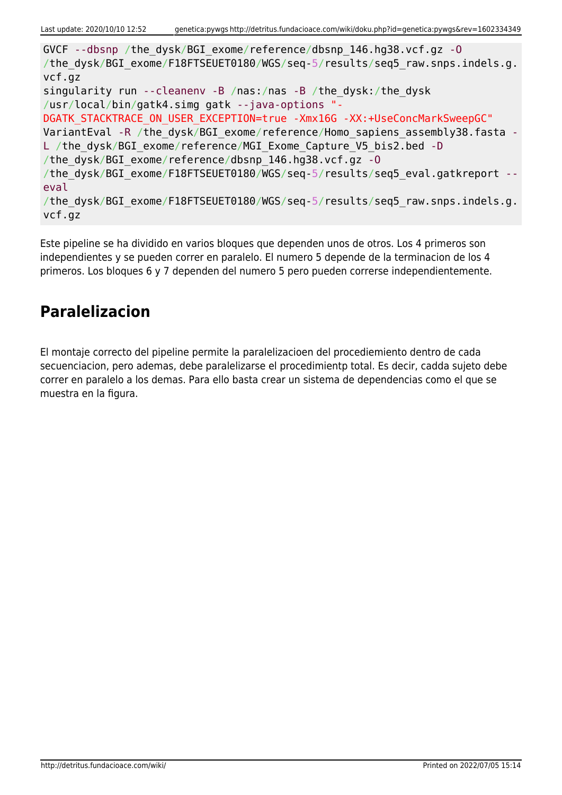GVCF --dbsnp /the\_dysk/BGI\_exome/reference/dbsnp\_146.hg38.vcf.gz -O /the dysk/BGI exome/F18FTSEUET0180/WGS/seq-5/results/seq5 raw.snps.indels.g. vcf.gz singularity run --cleanenv -B /nas:/nas -B /the\_dysk:/the\_dysk /usr/local/bin/gatk4.simg gatk --java-options "- DGATK STACKTRACE ON USER EXCEPTION=true -Xmx16G -XX:+UseConcMarkSweepGC" VariantEval -R /the dysk/BGI\_exome/reference/Homo\_sapiens\_assembly38.fasta -L /the dysk/BGI exome/reference/MGI Exome Capture V5 bis2.bed -D /the\_dysk/BGI\_exome/reference/dbsnp\_146.hg38.vcf.gz -O /the dysk/BGI exome/F18FTSEUET0180/WGS/seq-5/results/seq5 eval.gatkreport -eval /the dysk/BGI exome/F18FTSEUET0180/WGS/seq-5/results/seq5 raw.snps.indels.g. vcf.gz

Este pipeline se ha dividido en varios bloques que dependen unos de otros. Los 4 primeros son independientes y se pueden correr en paralelo. El numero 5 depende de la terminacion de los 4 primeros. Los bloques 6 y 7 dependen del numero 5 pero pueden correrse independientemente.

# **Paralelizacion**

El montaje correcto del pipeline permite la paralelizacioen del procediemiento dentro de cada secuenciacion, pero ademas, debe paralelizarse el procedimientp total. Es decir, cadda sujeto debe correr en paralelo a los demas. Para ello basta crear un sistema de dependencias como el que se muestra en la figura.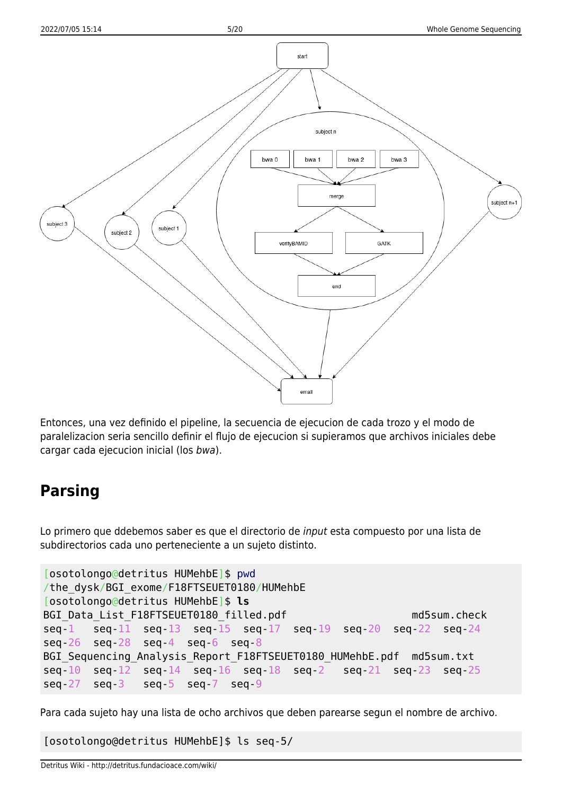

Entonces, una vez definido el pipeline, la secuencia de ejecucion de cada trozo y el modo de paralelizacion seria sencillo definir el flujo de ejecucion si supieramos que archivos iniciales debe cargar cada ejecucion inicial (los bwa).

# **Parsing**

Lo primero que ddebemos saber es que el directorio de input esta compuesto por una lista de subdirectorios cada uno perteneciente a un sujeto distinto.

```
[osotolongo@detritus HUMehbE]$ pwd
/the_dysk/BGI_exome/F18FTSEUET0180/HUMehbE
[osotolongo@detritus HUMehbE]$ ls
BGI Data List F18FTSEUET0180 filled.pdf md5sum.check
seq-1 seq-11 seq-13 seq-15 seq-17 seq-19 seq-20 seq-22 seq-24
seq-26 seq-28 seq-4 seq-6 seq-8
BGI Sequencing Analysis Report F18FTSEUET0180 HUMehbE.pdf md5sum.txt
seq-10 seq-12 seq-14 seq-16 seq-18 seq-2 seq-21 seq-23 seq-25
seq-27 seq-3 seq-5 seq-7 seq-9
```
Para cada sujeto hay una lista de ocho archivos que deben parearse segun el nombre de archivo.

[osotolongo@detritus HUMehbE]\$ ls seq-5/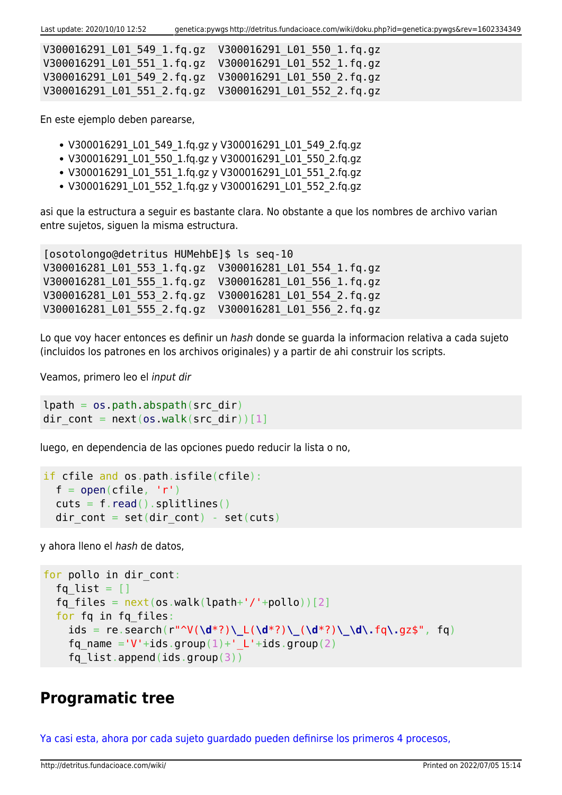Last update: 2020/10/10 12:52 genetica:pywgs http://detritus.fundacioace.com/wiki/doku.php?id=genetica:pywgs&rev=1602334349

| V300016291 L01 551 1.fg.gz  V300016291 L01 552 1.fg.gz |  |
|--------------------------------------------------------|--|
|                                                        |  |
| V300016291 L01 551 2.fq.gz  V300016291 L01 552 2.fq.gz |  |

En este ejemplo deben parearse,

- V300016291\_L01\_549\_1.fq.gz y V300016291\_L01\_549\_2.fq.gz
- V300016291\_L01\_550\_1.fq.gz y V300016291\_L01\_550\_2.fq.gz
- V300016291 L01 551 1.fq.gz y V300016291 L01 551 2.fq.gz
- V300016291 L01 552 1.fg.gz y V300016291 L01 552 2.fg.gz

asi que la estructura a seguir es bastante clara. No obstante a que los nombres de archivo varian entre sujetos, siguen la misma estructura.

[osotolongo@detritus HUMehbE]\$ ls seq-10 V300016281\_L01\_553\_1.fq.gz V300016281\_L01\_554\_1.fq.gz V300016281\_L01\_555\_1.fq.gz V300016281\_L01\_556\_1.fq.gz V300016281\_L01\_553\_2.fq.gz V300016281\_L01\_554\_2.fq.gz V300016281\_L01\_555\_2.fq.gz V300016281\_L01\_556\_2.fq.gz

Lo que voy hacer entonces es definir un hash donde se guarda la informacion relativa a cada sujeto (incluidos los patrones en los archivos originales) y a partir de ahi construir los scripts.

Veamos, primero leo el input dir

```
lpath = os.pathr<sub>obs</sub>, abspath(src dir)</sub>
dir cont = next(os.walk(src dir))[1]
```
luego, en dependencia de las opciones puedo reducir la lista o no,

```
if cfile and os.path.isfile(cfile):
 open(cfile, 'r')read().splitlines()dir cont = set(dir cont) - set(cuts)
```
y ahora lleno el hash de datos,

```
for pollo in dir cont:
  fq list = []fq files = next(os.walk(lpath+'/'+pollo))[2] for fq in fq_files:
     ids = re.search(r"^V(\d*?)\_L(\d*?)\_(\d*?)\_\d\.fq\.gz$", fq)
    fq name ='V'+ids.group(1)+' L'+ids.group(2)
    fq list.append(ids.group(3))
```
## **Programatic tree**

[Ya casi esta, ahora por cada sujeto guardado pueden definirse los primeros 4 procesos,](#page--1-0)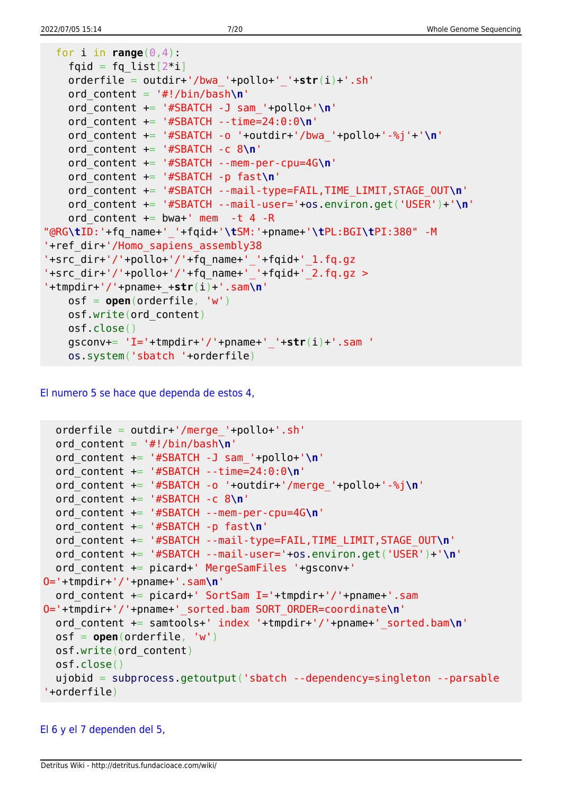```
for i in range(0, 4):
   fqid = fq\_list[2 * i] orderfile = outdir+'/bwa_'+pollo+'_'+str(i)+'.sh'
    ord_content = '#!/bin/bash\n'
    ord_content += '#SBATCH -J sam_'+pollo+'\n'
    ord_content += '#SBATCH --time=24:0:0\n'
    ord_content += '#SBATCH -o '+outdir+'/bwa_'+pollo+'-%j'+'\n'
    ord_content += '#SBATCH -c 8\n'
    ord_content += '#SBATCH --mem-per-cpu=4G\n'
    ord_content += '#SBATCH -p fast\n'
    ord_content += '#SBATCH --mail-type=FAIL,TIME_LIMIT,STAGE_OUT\n'
    ord_content += '#SBATCH --mail-user='+os.environ.get('USER')+'\n'
   ord content += bwa+' mem -t 4 -R
"@RG\tID:'+fq_name+'_'+fqid+'\tSM:'+pname+'\tPL:BGI\tPI:380" -M
'+ref_dir+'/Homo_sapiens_assembly38
'+src_dir+'/'+pollo+'/'+fq_name+'_'+fqid+'_1.fq.gz
'+src dir+'/'+pollo+'/'+fq name+' '+fqid+' 2.fq.gz >
'+tmpdir+'/'+pname+_+str(i)+'.sam\n'
    osf = open(orderfile, 'w')
    osf.write(ord_content)
    osf.close()
    gsconv+= 'I='+tmpdir+'/'+pname+'_'+str(i)+'.sam '
    os.system('sbatch '+orderfile)
```
[El numero 5 se hace que dependa de estos 4,](#page--1-0)

```
 orderfile = outdir+'/merge_'+pollo+'.sh'
   ord_content = '#!/bin/bash\n'
   ord_content += '#SBATCH -J sam_'+pollo+'\n'
   ord_content += '#SBATCH --time=24:0:0\n'
   ord_content += '#SBATCH -o '+outdir+'/merge_'+pollo+'-%j\n'
   ord_content += '#SBATCH -c 8\n'
   ord_content += '#SBATCH --mem-per-cpu=4G\n'
   ord_content += '#SBATCH -p fast\n'
   ord_content += '#SBATCH --mail-type=FAIL,TIME_LIMIT,STAGE_OUT\n'
   ord_content += '#SBATCH --mail-user='+os.environ.get('USER')+'\n'
   ord_content += picard+' MergeSamFiles '+gsconv+'
O='+tmpdir+'/'+pname+'.sam\n'
   ord_content += picard+' SortSam I='+tmpdir+'/'+pname+'.sam
O='+tmpdir+'/'+pname+'_sorted.bam SORT_ORDER=coordinate\n'
   ord_content += samtools+' index '+tmpdir+'/'+pname+'_sorted.bam\n'
   osf = open(orderfile, 'w')
   osf.write(ord_content)
  osf.close()
   ujobid = subprocess.getoutput('sbatch --dependency=singleton --parsable
'+orderfile)
```
### [El 6 y el 7 dependen del 5,](#page--1-0)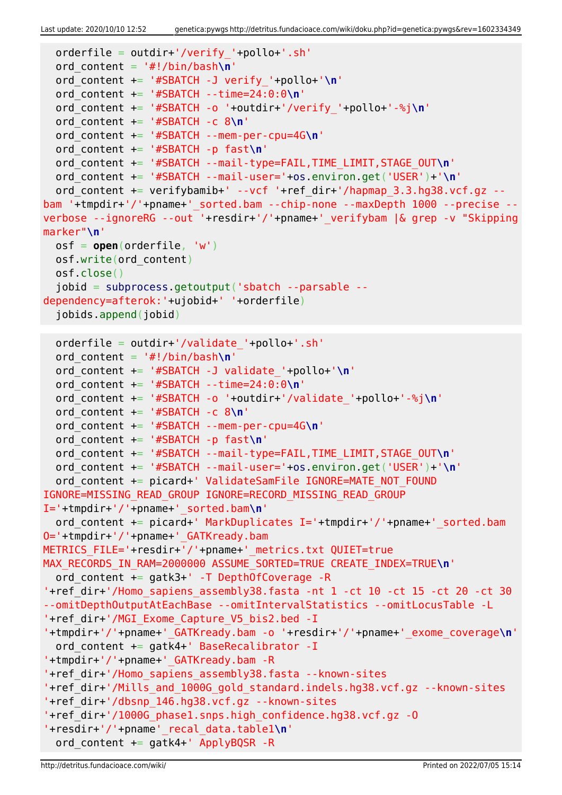```
Last update: 2020/10/10 12:52 genetica:pywgs http://detritus.fundacioace.com/wiki/doku.php?id=genetica:pywgs&rev=1602334349
```

```
 orderfile = outdir+'/verify_'+pollo+'.sh'
   ord_content = '#!/bin/bash\n'
   ord_content += '#SBATCH -J verify_'+pollo+'\n'
  ord_content += '#SBATCH --time=24:0:0\n'
  ord_content += '#SBATCH -o '+outdir+'/verify_'+pollo+'-%j\n'
   ord_content += '#SBATCH -c 8\n'
  ord_content += '#SBATCH --mem-per-cpu=4G\n'
  ord_content += '#SBATCH -p fast\n'
  ord_content += '#SBATCH --mail-type=FAIL,TIME_LIMIT,STAGE_OUT\n'
  ord_content += '#SBATCH --mail-user='+os.environ.get('USER')+'\n'
  ord content += verifybamib+' --vcf '+ref dir+'/hapmap 3.3.hg38.vcf.gz --
bam '+tmpdir+'/'+pname+'_sorted.bam --chip-none --maxDepth 1000 --precise --
verbose --ignoreRG --out '+resdir+'/'+pname+'_verifybam |& grep -v "Skipping
marker"\n'
  osf = open(orderfile, 'w')
  osf.write(ord_content)
  osf.close()
   jobid = subprocess.getoutput('sbatch --parsable --
dependency=afterok:'+ujobid+' '+orderfile)
   jobids.append(jobid)
  orderfile = outdir+'/validate_'+pollo+'.sh'
  ord_content = '#!/bin/bash\n'
  ord_content += '#SBATCH -J validate_'+pollo+'\n'
  ord_content += '#SBATCH --time=24:0:0\n'
  ord_content += '#SBATCH -o '+outdir+'/validate_'+pollo+'-%j\n'
  ord_content += '#SBATCH -c 8\n'
  ord_content += '#SBATCH --mem-per-cpu=4G\n'
   ord_content += '#SBATCH -p fast\n'
  ord_content += '#SBATCH --mail-type=FAIL,TIME_LIMIT,STAGE_OUT\n'
  ord_content += '#SBATCH --mail-user='+os.environ.get('USER')+'\n'
  ord content += picard+' ValidateSamFile IGNORE=MATE NOT FOUND
IGNORE=MISSING_READ_GROUP IGNORE=RECORD_MISSING_READ_GROUP
I='+tmpdir+'/'+pname+'_sorted.bam\n'
  ord content += picard+' MarkDuplicates I='+tmpdir+'/'+pname+' sorted.bam
O='+tmpdir+'/'+pname+'_GATKready.bam
METRICS_FILE='+resdir+'/'+pname+'_metrics.txt QUIET=true
MAX_RECORDS_IN_RAM=2000000 ASSUME_SORTED=TRUE CREATE_INDEX=TRUE\n'
   ord_content += gatk3+' -T DepthOfCoverage -R
'+ref_dir+'/Homo_sapiens_assembly38.fasta -nt 1 -ct 10 -ct 15 -ct 20 -ct 30
--omitDepthOutputAtEachBase --omitIntervalStatistics --omitLocusTable -L
'+ref_dir+'/MGI_Exome_Capture_V5_bis2.bed -I
'+tmpdir+'/'+pname+'_GATKready.bam -o '+resdir+'/'+pname+'_exome_coverage\n'
  ord content += gatk4+' BaseRecalibrator -I
'+tmpdir+'/'+pname+'_GATKready.bam -R
'+ref_dir+'/Homo_sapiens_assembly38.fasta --known-sites
'+ref_dir+'/Mills_and_1000G_gold_standard.indels.hg38.vcf.gz --known-sites
'+ref_dir+'/dbsnp_146.hg38.vcf.gz --known-sites
'+ref_dir+'/1000G_phase1.snps.high_confidence.hg38.vcf.gz -O
'+resdir+'/'+pname'_recal_data.table1\n'
  ord content += gatk4+' ApplyBQSR -R
```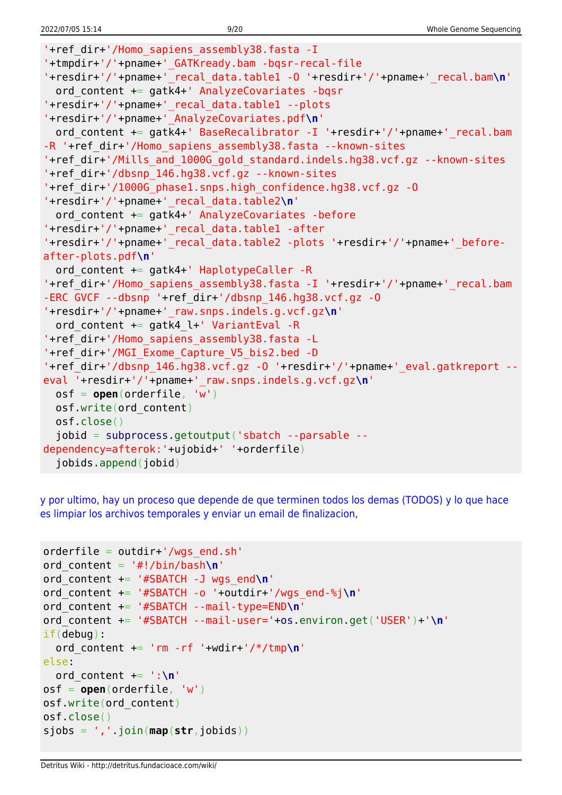```
'+ref_dir+'/Homo_sapiens_assembly38.fasta -I
'+tmpdir+'/'+pname+'_GATKready.bam -bqsr-recal-file
'+resdir+'/'+pname+'_recal_data.table1 -O '+resdir+'/'+pname+'_recal.bam\n'
   ord_content += gatk4+' AnalyzeCovariates -bqsr
'+resdir+'/'+pname+'_recal_data.table1 --plots
'+resdir+'/'+pname+'_AnalyzeCovariates.pdf\n'
  ord content += gatk4+' BaseRecalibrator -I '+resdir+'/'+pname+'_recal.bam
-R '+ref dir+'/Homo sapiens assembly38.fasta --known-sites
'+ref_dir+'/Mills_and_1000G_gold_standard.indels.hg38.vcf.gz --known-sites
'+ref_dir+'/dbsnp_146.hg38.vcf.gz --known-sites
'+ref_dir+'/1000G_phase1.snps.high_confidence.hg38.vcf.gz -O
'+resdir+'/'+pname+'_recal_data.table2\n'
  ord content += gatk4+' AnalyzeCovariates -before
'+resdir+'/'+pname+'_recal_data.table1 -after
'+resdir+'/'+pname+'_recal_data.table2 -plots '+resdir+'/'+pname+'_before-
after-plots.pdf\n'
   ord_content += gatk4+' HaplotypeCaller -R
'+ref_dir+'/Homo_sapiens_assembly38.fasta -I '+resdir+'/'+pname+' recal.bam
-ERC GVCF --dbsnp '+ref_dir+'/dbsnp_146.hg38.vcf.gz -O
'+resdir+'/'+pname+'_raw.snps.indels.g.vcf.gz\n'
  ord content += gatk4 l+' VariantEval -R
'+ref_dir+'/Homo_sapiens_assembly38.fasta -L
'+ref_dir+'/MGI_Exome_Capture_V5_bis2.bed -D
'+ref_dir+'/dbsnp_146.hg38.vcf.gz -O '+resdir+'/'+pname+'_eval.gatkreport --
eval '+resdir+'/'+pname+'_raw.snps.indels.g.vcf.gz\n'
  osf = open(orderfile, 'w')
  osf.write(ord_content)
  osf.close()
   jobid = subprocess.getoutput('sbatch --parsable --
dependency=afterok:'+ujobid+' '+orderfile)
   jobids.append(jobid)
```
[y por ultimo, hay un proceso que depende de que terminen todos los demas \(TODOS\) y lo que hace](#page--1-0) [es limpiar los archivos temporales y enviar un email de finalizacion,](#page--1-0)

```
orderfile = outdir+'/wgs end.sh'
ord_content = '#!/bin/bash\n'
ord_content += '#SBATCH -J wgs_end\n'
ord_content += '#SBATCH -o '+outdir+'/wgs_end-%j\n'
ord_content += '#SBATCH --mail-type=END\n'
ord_content += '#SBATCH --mail-user='+os.environ.get('USER')+'\n'
if(debug):
   ord_content += 'rm -rf '+wdir+'/*/tmp\n'
else:
  ord content += ':\n\cdot\)osf = open(orderfile, 'w')
osf.write(ord_content)
osf.close()
sjobs = ','.join(map(str,jobids))
```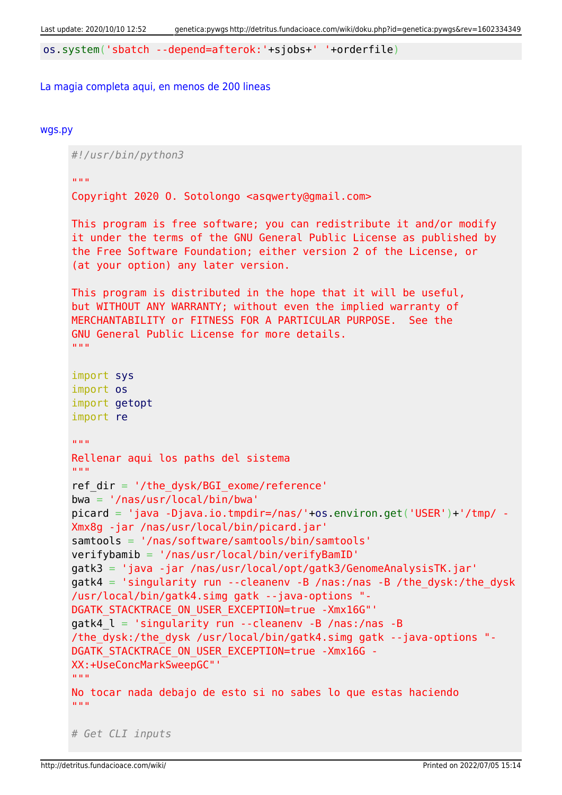os.system('sbatch --depend=afterok:'+sjobs+' '+orderfile)

#### [La magia completa aqui, en menos de 200 lineas](#page--1-0)

#### [wgs.py](http://detritus.fundacioace.com/wiki/doku.php?do=export_code&id=genetica:pywgs&codeblock=13)

*#!/usr/bin/python3* "" "" "" Copyright 2020 O. Sotolongo <asqwerty@gmail.com> This program is free software; you can redistribute it and/or modify it under the terms of the GNU General Public License as published by the Free Software Foundation; either version 2 of the License, or (at your option) any later version. This program is distributed in the hope that it will be useful, but WITHOUT ANY WARRANTY; without even the implied warranty of MERCHANTABILITY or FITNESS FOR A PARTICULAR PURPOSE. See the GNU General Public License for more details. "" "" "" import sys import os import getopt import re  $\overline{m}$ "" " Rellenar aqui los paths del sistema  $"$ ""  $"$ ref  $dir = '/the dysk/BGI$  exome/reference' bwa = '/nas/usr/local/bin/bwa' picard = 'java -Djava.io.tmpdir=/nas/'+os.environ.get('USER')+'/tmp/ - Xmx8g -jar /nas/usr/local/bin/picard.jar' samtools = '/nas/software/samtools/bin/samtools' verifybamib = '/nas/usr/local/bin/verifyBamID' gatk3 = 'java -jar /nas/usr/local/opt/gatk3/GenomeAnalysisTK.jar'  $g$ atk4 = 'singularity run --cleanenv -B /nas:/nas -B /the dysk:/the dysk /usr/local/bin/gatk4.simg gatk --java-options "- DGATK STACKTRACE ON USER EXCEPTION=true -Xmx16G"' gatk4  $l = 'singularity run --cleanenv -B /nas://nas -B$ /the\_dysk:/the\_dysk /usr/local/bin/gatk4.simg gatk --java-options "- DGATK\_STACKTRACE\_ON\_USER\_EXCEPTION=true -Xmx16G - XX:+UseConcMarkSweepGC"' "" "" "" No tocar nada debajo de esto si no sabes lo que estas haciendo "" "" "" *# Get CLI inputs*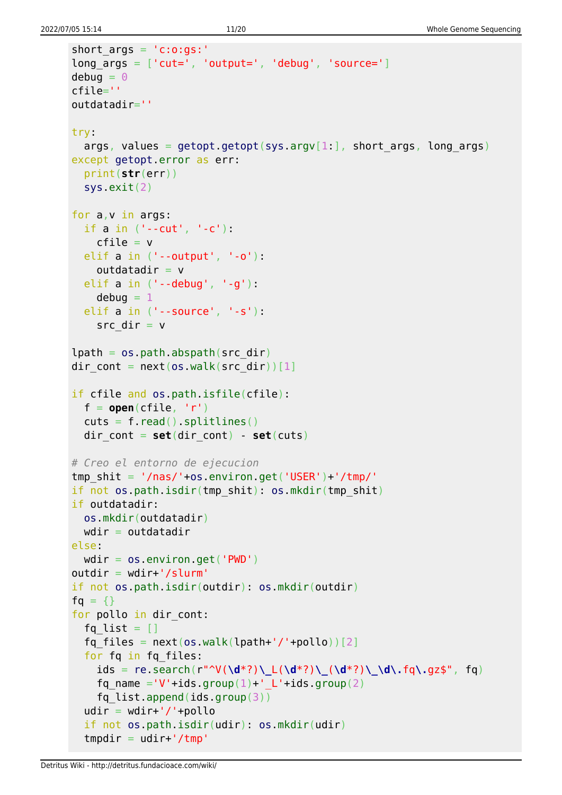```
short args = 'c:o:gs:'long_{\text{args}} = [\text{'cut='}, 'output='', 'debug', 'source='}]debua = 0cfile=''
outdatadir=''
try:
  args, values = getopt.getopt(sys.argv[1:], short args, long args)
except getopt.error as err:
   print(str(err))
   sys.exit(2)
for a,v in args:
   if a in ('--cut', '-c'):
    cfile = velif a in ('--output'. ' - o'):
    outdatadir = v elif a in ('--debug', '-g'):
    debuq = 1 elif a in ('--source', '-s'):
    src dir = vlpath = os.pathr<sub>obs</sub> path. (src dir)</sub>
dir cont = next(os.walk(src dir))[1]
if cfile and os.path.isfile(cfile):
  f = open(cfile, 'r')cuts = f.read().splitlines()dir cont = set(dir \text{ cont}) - set(cuts)# Creo el entorno de ejecucion
tmp shit = '/nas/'+os.environ.get('USER')+'/tmp/'if not os.path.isdir(tmp_shit): os.mkdir(tmp_shit)
if outdatadir:
  os.mkdir(outdatadir)
 wdir = outdatadirelse:
 wdir = os.environ.get('PWD')outdir = wdir+'/slurm'if not os.path.isdir(outdir): os.mkdir(outdir)
fg = \{\}for pollo in dir cont:
  fq list = []fq files = next(os.walk(lpath+'/'+pollo))[2] for fq in fq_files:
     ids = re.search(r"^V(\d*?)\_L(\d*?)\_(\d*?)\_\d\.fq\.gz$", fq)
    fq name ='V'+ids.group(1)+' L'+ids.group(2)
    fq list.append(ids.group(3))
  udir = wdir+'/'+pollo if not os.path.isdir(udir): os.mkdir(udir)
  tmpdir = udir+'/tmp'
```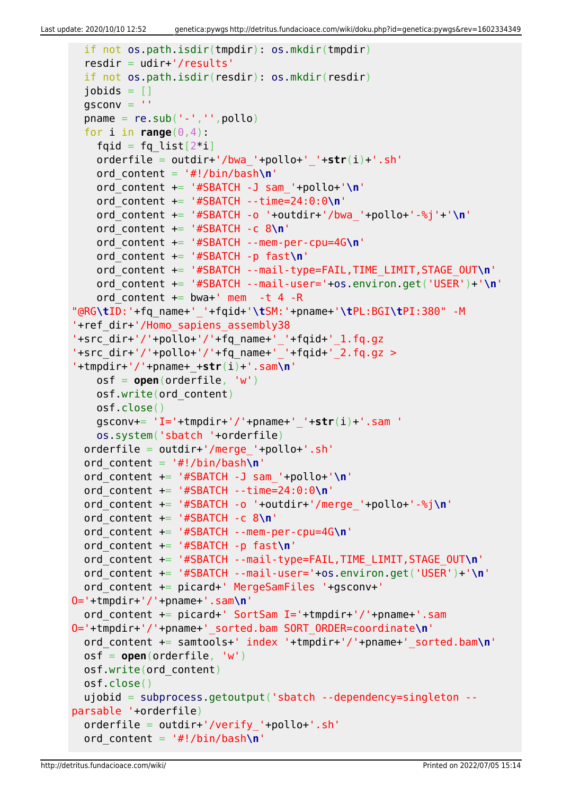```
 if not os.path.isdir(tmpdir): os.mkdir(tmpdir)
   resdir = udir+'/results'
   if not os.path.isdir(resdir): os.mkdir(resdir)
  jobids = []qsconv =<sup>''</sup>
  pname = re.sub('--', ''', poollo)for i in range(0, 4):
    fqid = fq list[2^*i] orderfile = outdir+'/bwa_'+pollo+'_'+str(i)+'.sh'
     ord_content = '#!/bin/bash\n'
     ord_content += '#SBATCH -J sam_'+pollo+'\n'
     ord_content += '#SBATCH --time=24:0:0\n'
     ord_content += '#SBATCH -o '+outdir+'/bwa_'+pollo+'-%j'+'\n'
     ord_content += '#SBATCH -c 8\n'
     ord_content += '#SBATCH --mem-per-cpu=4G\n'
     ord_content += '#SBATCH -p fast\n'
     ord_content += '#SBATCH --mail-type=FAIL,TIME_LIMIT,STAGE_OUT\n'
     ord_content += '#SBATCH --mail-user='+os.environ.get('USER')+'\n'
    ord content += bwa+' mem -t 4 -R
"@RG\tID:'+fq_name+'_'+fqid+'\tSM:'+pname+'\tPL:BGI\tPI:380" -M
'+ref_dir+'/Homo_sapiens_assembly38
'+src_dir+'/'+pollo+'/'+fq_name+'_'+fqid+'_1.fq.gz
'+src_dir+'/'+pollo+'/'+fq_name+'_'+fqid+'_2.fq.gz >
'+tmpdir+'/'+pname+_+str(i)+'.sam\n'
     osf = open(orderfile, 'w')
     osf.write(ord_content)
     osf.close()
     gsconv+= 'I='+tmpdir+'/'+pname+'_'+str(i)+'.sam '
     os.system('sbatch '+orderfile)
   orderfile = outdir+'/merge_'+pollo+'.sh'
   ord_content = '#!/bin/bash\n'
   ord_content += '#SBATCH -J sam_'+pollo+'\n'
   ord_content += '#SBATCH --time=24:0:0\n'
   ord_content += '#SBATCH -o '+outdir+'/merge_'+pollo+'-%j\n'
   ord_content += '#SBATCH -c 8\n'
   ord_content += '#SBATCH --mem-per-cpu=4G\n'
   ord_content += '#SBATCH -p fast\n'
   ord_content += '#SBATCH --mail-type=FAIL,TIME_LIMIT,STAGE_OUT\n'
   ord_content += '#SBATCH --mail-user='+os.environ.get('USER')+'\n'
   ord_content += picard+' MergeSamFiles '+gsconv+'
O='+tmpdir+'/'+pname+'.sam\n'
   ord_content += picard+' SortSam I='+tmpdir+'/'+pname+'.sam
O='+tmpdir+'/'+pname+'_sorted.bam SORT_ORDER=coordinate\n'
   ord_content += samtools+' index '+tmpdir+'/'+pname+'_sorted.bam\n'
   osf = open(orderfile, 'w')
   osf.write(ord_content)
   osf.close()
   ujobid = subprocess.getoutput('sbatch --dependency=singleton --
parsable '+orderfile)
   orderfile = outdir+'/verify_'+pollo+'.sh'
   ord_content = '#!/bin/bash\n'
```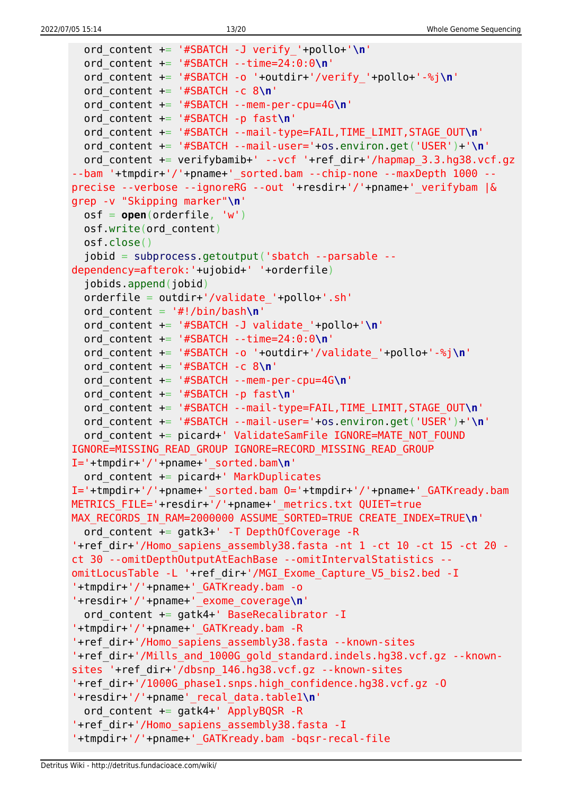```
 ord_content += '#SBATCH -J verify_'+pollo+'\n'
   ord_content += '#SBATCH --time=24:0:0\n'
   ord_content += '#SBATCH -o '+outdir+'/verify_'+pollo+'-%j\n'
   ord_content += '#SBATCH -c 8\n'
   ord_content += '#SBATCH --mem-per-cpu=4G\n'
   ord_content += '#SBATCH -p fast\n'
   ord_content += '#SBATCH --mail-type=FAIL,TIME_LIMIT,STAGE_OUT\n'
   ord_content += '#SBATCH --mail-user='+os.environ.get('USER')+'\n'
  ord content += verifybamib+' --vcf '+ref dir+'/hapmap 3.3.hg38.vcf.gz
--bam '+tmpdir+'/'+pname+' sorted.bam --chip-none --maxDepth 1000 --
precise --verbose --ignoreRG --out '+resdir+'/'+pname+'_verifybam |&
grep -v "Skipping marker"\n'
   osf = open(orderfile, 'w')
   osf.write(ord_content)
   osf.close()
   jobid = subprocess.getoutput('sbatch --parsable --
dependency=afterok:'+ujobid+' '+orderfile)
   jobids.append(jobid)
  orderfile = outdir+'/validate'+pollo+.sh'ord content = '#!/bin/bash\n' ord_content += '#SBATCH -J validate_'+pollo+'\n'
   ord_content += '#SBATCH --time=24:0:0\n'
   ord_content += '#SBATCH -o '+outdir+'/validate_'+pollo+'-%j\n'
   ord_content += '#SBATCH -c 8\n'
   ord_content += '#SBATCH --mem-per-cpu=4G\n'
   ord_content += '#SBATCH -p fast\n'
   ord_content += '#SBATCH --mail-type=FAIL,TIME_LIMIT,STAGE_OUT\n'
   ord_content += '#SBATCH --mail-user='+os.environ.get('USER')+'\n'
  ord content += picard+' ValidateSamFile IGNORE=MATE NOT FOUND
IGNORE=MISSING_READ_GROUP IGNORE=RECORD_MISSING_READ_GROUP
I='+tmpdir+'/'+pname+'_sorted.bam\n'
   ord_content += picard+' MarkDuplicates
I='+tmpdir+'/'+pname+'_sorted.bam O='+tmpdir+'/'+pname+'_GATKready.bam
METRICS FILE='+resdir+'/'+pname+' metrics.txt QUIET=true
MAX RECORDS IN RAM=2000000 ASSUME SORTED=TRUE CREATE INDEX=TRUE\n'
  ord content += gatk3+' -T DepthOfCoverage -R
'+ref dir+'/Homo sapiens assembly38.fasta -nt 1 -ct 10 -ct 15 -ct 20 -
ct 30 --omitDepthOutputAtEachBase --omitIntervalStatistics --
omitLocusTable -L '+ref_dir+'/MGI_Exome_Capture_V5_bis2.bed -I
'+tmpdir+'/'+pname+'_GATKready.bam -o
'+resdir+'/'+pname+'_exome_coverage\n'
   ord_content += gatk4+' BaseRecalibrator -I
'+tmpdir+'/'+pname+'_GATKready.bam -R
'+ref_dir+'/Homo_sapiens_assembly38.fasta --known-sites
'+ref dir+'/Mills and 1000G gold standard.indels.hg38.vcf.gz --known-
sites '+ref_dir+'/dbsnp_146.hg38.vcf.gz --known-sites
'+ref_dir+'/1000G_phase1.snps.high_confidence.hg38.vcf.gz -O
'+resdir+'/'+pname'_recal_data.table1\n'
  ord content += gatk4+' ApplyBQSR -R
'+ref_dir+'/Homo_sapiens_assembly38.fasta -I
'+tmpdir+'/'+pname+'_GATKready.bam -bqsr-recal-file
```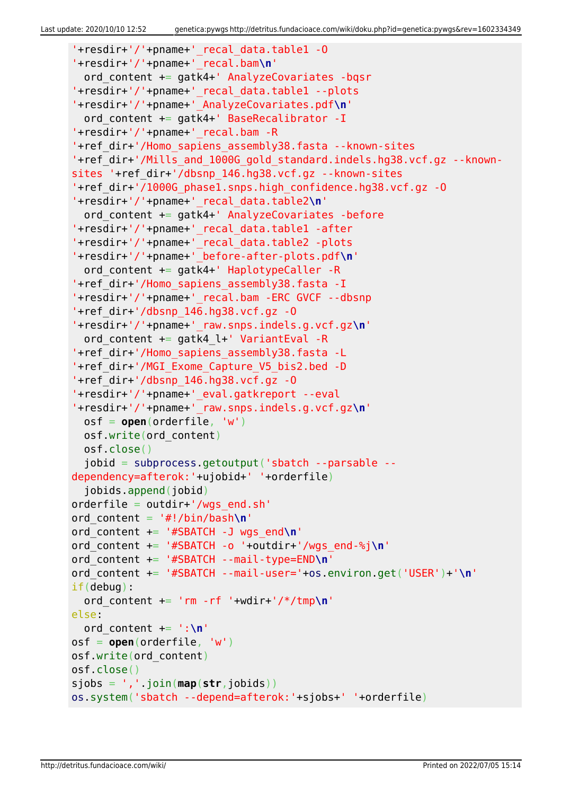```
'+resdir+'/'+pname+'_recal_data.table1 -O
'+resdir+'/'+pname+'_recal.bam\n'
   ord_content += gatk4+' AnalyzeCovariates -bqsr
'+resdir+'/'+pname+'_recal_data.table1 --plots
'+resdir+'/'+pname+'_AnalyzeCovariates.pdf\n'
  ord content += gatk4+' BaseRecalibrator -I
'+resdir+'/'+pname+'_recal.bam -R
'+ref_dir+'/Homo_sapiens_assembly38.fasta --known-sites
'+ref dir+'/Mills and 1000G gold standard.indels.hg38.vcf.gz --known-
sites '+ref_dir+'/dbsnp_146.hg38.vcf.gz --known-sites
'+ref_dir+'/1000G_phase1.snps.high_confidence.hg38.vcf.gz -O
'+resdir+'/'+pname+'_recal_data.table2\n'
   ord_content += gatk4+' AnalyzeCovariates -before
'+resdir+'/'+pname+'_recal_data.table1 -after
'+resdir+'/'+pname+'_recal_data.table2 -plots
'+resdir+'/'+pname+'_before-after-plots.pdf\n'
  ord content += gatk4+' HaplotypeCaller -R
'+ref_dir+'/Homo_sapiens_assembly38.fasta -I
'+resdir+'/'+pname+'_recal.bam -ERC GVCF --dbsnp
'+ref dir+'/dbsnp 146.hq38.vcf.gz -0'+resdir+'/'+pname+'_raw.snps.indels.g.vcf.gz\n'
   ord_content += gatk4_l+' VariantEval -R
'+ref_dir+'/Homo_sapiens_assembly38.fasta -L
'+ref_dir+'/MGI_Exome_Capture_V5_bis2.bed -D
'+ref dir+'/dbsnp 146.hq38.vcf.qz -0'+resdir+'/'+pname+'_eval.gatkreport --eval
'+resdir+'/'+pname+'_raw.snps.indels.g.vcf.gz\n'
   osf = open(orderfile, 'w')
   osf.write(ord_content)
   osf.close()
   jobid = subprocess.getoutput('sbatch --parsable --
dependency=afterok:'+ujobid+' '+orderfile)
   jobids.append(jobid)
orderfile = outdir+'/wgs_end.sh'
ord_content = '#!/bin/bash\n'
ord_content += '#SBATCH -J wgs_end\n'
ord_content += '#SBATCH -o '+outdir+'/wgs_end-%j\n'
ord_content += '#SBATCH --mail-type=END\n'
ord_content += '#SBATCH --mail-user='+os.environ.get('USER')+'\n'
if(debug):
  ord content += 'rm -rf '+wdir+'/*/tmp\n'
else:
   ord_content += ':\n'
osf = open(orderfile, 'w')
osf.write(ord_content)
osf.close()
sjobs = ','.join(map(str,jobids))
os.system('sbatch --depend=afterok:'+sjobs+' '+orderfile)
```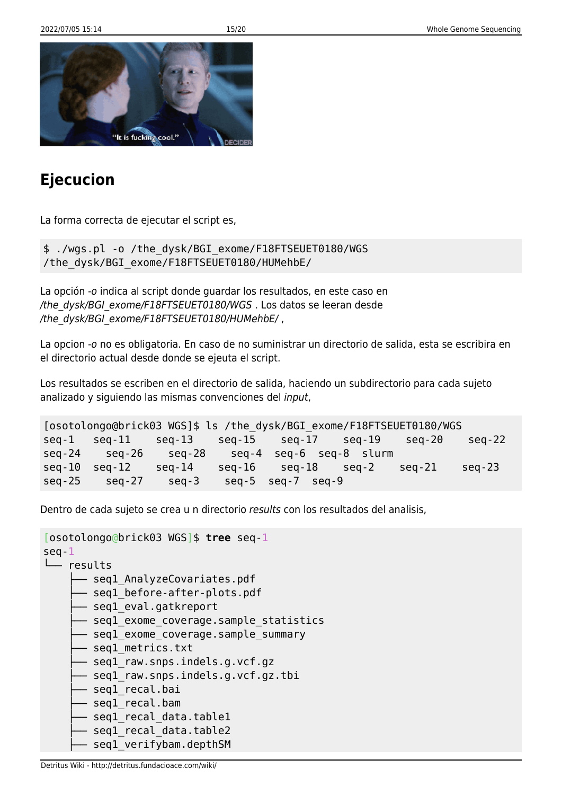

# **Ejecucion**

La forma correcta de ejecutar el script es,

\$ ./wgs.pl -o /the\_dysk/BGI\_exome/F18FTSEUET0180/WGS /the\_dysk/BGI\_exome/F18FTSEUET0180/HUMehbE/

La opción -o indica al script donde guardar los resultados, en este caso en /the\_dysk/BGI\_exome/F18FTSEUET0180/WGS . Los datos se leeran desde /the\_dysk/BGI\_exome/F18FTSEUET0180/HUMehbE/,

La opcion -o no es obligatoria. En caso de no suministrar un directorio de salida, esta se escribira en el directorio actual desde donde se ejeuta el script.

Los resultados se escriben en el directorio de salida, haciendo un subdirectorio para cada sujeto analizado y siguiendo las mismas convenciones del input,

```
[osotolongo@brick03 WGS]$ ls /the_dysk/BGI_exome/F18FTSEUET0180/WGS
seq-1 seq-11 seq-13 seq-15 seq-17 seq-19 seq-20 seq-22
seq-24 seq-26 seq-28 seq-4 seq-6 seq-8 slurm
seq-10 seq-12 seq-14 seq-16 seq-18 seq-2 seq-21 seq-23
seq-25 seq-27 seq-3 seq-5 seq-7 seq-9
```
Dentro de cada sujeto se crea u n directorio results con los resultados del analisis,

```
[osotolongo@brick03 WGS]$ tree seq-1
seq-1
└── results
     - seql AnalyzeCovariates.pdf
      - seql before-after-plots.pdf
       - seql eval.gatkreport
      - seql exome coverage.sample statistics
      - seql exome coverage.sample summary
      - seql metrics.txt
      - seql raw.snps.indels.g.vcf.gz
       - seql raw.snps.indels.g.vcf.gz.tbi
       - seql_recal.bai
      - seql recal.bam
      - seql recal data.table1
       seq1_recal_data.table2
       seq1 verifybam.depthSM
```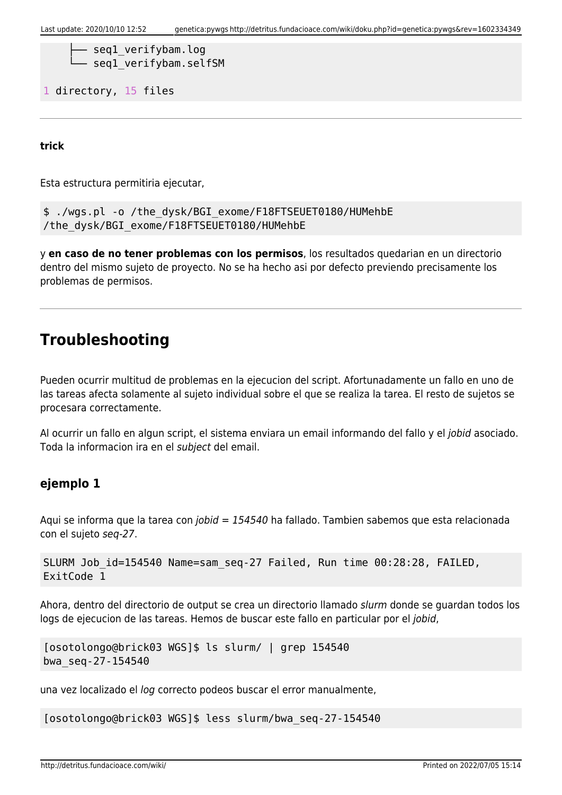```
- seql verifybam.log
seq1 verifybam.selfSM
```
1 directory, 15 files

**trick**

Esta estructura permitiria ejecutar,

```
$ ./wgs.pl -o /the_dysk/BGI_exome/F18FTSEUET0180/HUMehbE
/the_dysk/BGI_exome/F18FTSEUET0180/HUMehbE
```
y **en caso de no tener problemas con los permisos**, los resultados quedarian en un directorio dentro del mismo sujeto de proyecto. No se ha hecho asi por defecto previendo precisamente los problemas de permisos.

# **Troubleshooting**

Pueden ocurrir multitud de problemas en la ejecucion del script. Afortunadamente un fallo en uno de las tareas afecta solamente al sujeto individual sobre el que se realiza la tarea. El resto de sujetos se procesara correctamente.

Al ocurrir un fallo en algun script, el sistema enviara un email informando del fallo y el jobid asociado. Toda la informacion ira en el subject del email.

### **ejemplo 1**

Aqui se informa que la tarea con jobid = 154540 ha fallado. Tambien sabemos que esta relacionada con el sujeto seq-27.

```
SLURM Job_id=154540 Name=sam_seq-27 Failed, Run time 00:28:28, FAILED,
ExitCode 1
```
Ahora, dentro del directorio de output se crea un directorio llamado slurm donde se guardan todos los logs de ejecucion de las tareas. Hemos de buscar este fallo en particular por el jobid,

```
[osotolongo@brick03 WGS]$ ls slurm/ | grep 154540
bwa_seq-27-154540
```
una vez localizado el log correcto podeos buscar el error manualmente,

[osotolongo@brick03 WGS]\$ less slurm/bwa\_seq-27-154540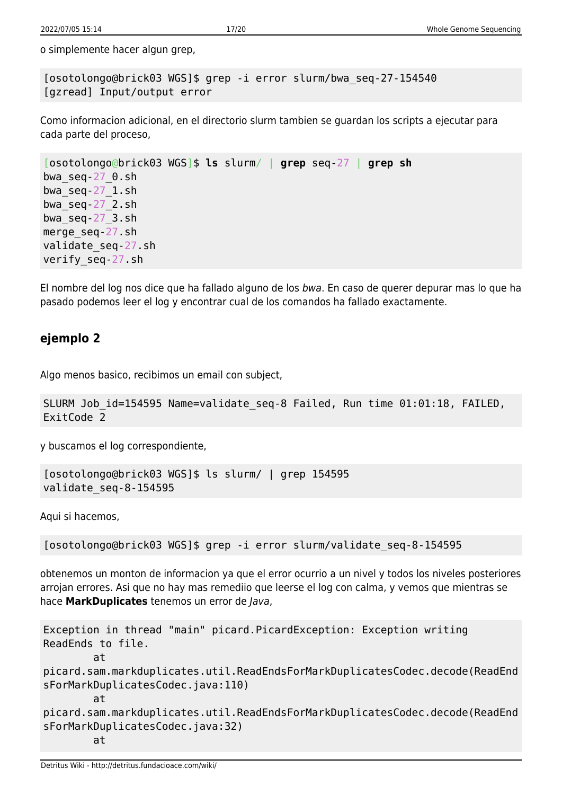o simplemente hacer algun grep,

[osotolongo@brick03 WGS]\$ grep -i error slurm/bwa\_seq-27-154540 [gzread] Input/output error

Como informacion adicional, en el directorio slurm tambien se guardan los scripts a ejecutar para cada parte del proceso,

```
[osotolongo@brick03 WGS]$ ls slurm/ | grep seq-27 | grep sh
bwa_seq-27_0.sh
bwa_seq-27_1.sh
bwa_seq-27_2.sh
bwaseq-27 3.sh
merge_seq-27.sh
validate_seq-27.sh
verify_seq-27.sh
```
El nombre del log nos dice que ha fallado alguno de los bwa. En caso de querer depurar mas lo que ha pasado podemos leer el log y encontrar cual de los comandos ha fallado exactamente.

## **ejemplo 2**

Algo menos basico, recibimos un email con subject,

```
SLURM Job id=154595 Name=validate seq-8 Failed, Run time 01:01:18, FAILED,
ExitCode 2
```
y buscamos el log correspondiente,

```
[osotolongo@brick03 WGS]$ ls slurm/ | grep 154595
validate_seq-8-154595
```
Aqui si hacemos,

[osotolongo@brick03 WGS]\$ grep -i error slurm/validate\_seq-8-154595

obtenemos un monton de informacion ya que el error ocurrio a un nivel y todos los niveles posteriores arrojan errores. Asi que no hay mas remediio que leerse el log con calma, y vemos que mientras se hace **MarkDuplicates** tenemos un error de Java,

```
Exception in thread "main" picard.PicardException: Exception writing
ReadEnds to file.
         at
picard.sam.markduplicates.util.ReadEndsForMarkDuplicatesCodec.decode(ReadEnd
sForMarkDuplicatesCodec.java:110)
         at
picard.sam.markduplicates.util.ReadEndsForMarkDuplicatesCodec.decode(ReadEnd
sForMarkDuplicatesCodec.java:32)
         at
```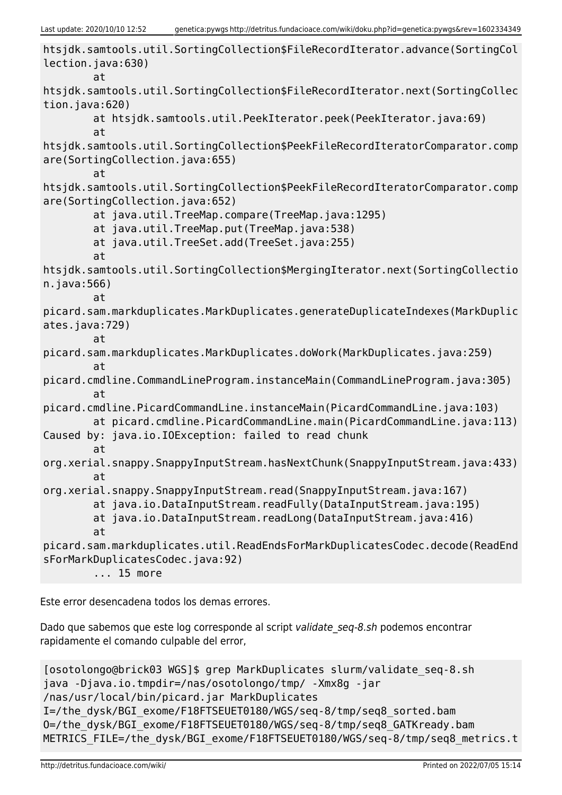```
htsjdk.samtools.util.SortingCollection$FileRecordIterator.advance(SortingCol
lection.java:630)
         at
htsjdk.samtools.util.SortingCollection$FileRecordIterator.next(SortingCollec
tion.java:620)
         at htsjdk.samtools.util.PeekIterator.peek(PeekIterator.java:69)
         at
htsjdk.samtools.util.SortingCollection$PeekFileRecordIteratorComparator.comp
are(SortingCollection.java:655)
         at
htsjdk.samtools.util.SortingCollection$PeekFileRecordIteratorComparator.comp
are(SortingCollection.java:652)
         at java.util.TreeMap.compare(TreeMap.java:1295)
         at java.util.TreeMap.put(TreeMap.java:538)
         at java.util.TreeSet.add(TreeSet.java:255)
         at
htsjdk.samtools.util.SortingCollection$MergingIterator.next(SortingCollectio
n.java:566)
         at
picard.sam.markduplicates.MarkDuplicates.generateDuplicateIndexes(MarkDuplic
ates.java:729)
         at
picard.sam.markduplicates.MarkDuplicates.doWork(MarkDuplicates.java:259)
         at
picard.cmdline.CommandLineProgram.instanceMain(CommandLineProgram.java:305)
         at
picard.cmdline.PicardCommandLine.instanceMain(PicardCommandLine.java:103)
         at picard.cmdline.PicardCommandLine.main(PicardCommandLine.java:113)
Caused by: java.io.IOException: failed to read chunk
         at
org.xerial.snappy.SnappyInputStream.hasNextChunk(SnappyInputStream.java:433)
         at
org.xerial.snappy.SnappyInputStream.read(SnappyInputStream.java:167)
         at java.io.DataInputStream.readFully(DataInputStream.java:195)
         at java.io.DataInputStream.readLong(DataInputStream.java:416)
         at
picard.sam.markduplicates.util.ReadEndsForMarkDuplicatesCodec.decode(ReadEnd
sForMarkDuplicatesCodec.java:92)
         ... 15 more
```
Este error desencadena todos los demas errores.

Dado que sabemos que este log corresponde al script validate seq-8.sh podemos encontrar rapidamente el comando culpable del error,

```
[osotolongo@brick03 WGS]$ grep MarkDuplicates slurm/validate_seq-8.sh
java -Djava.io.tmpdir=/nas/osotolongo/tmp/ -Xmx8g -jar
/nas/usr/local/bin/picard.jar MarkDuplicates
I=/the_dysk/BGI_exome/F18FTSEUET0180/WGS/seq-8/tmp/seq8_sorted.bam
O=/the_dysk/BGI_exome/F18FTSEUET0180/WGS/seq-8/tmp/seq8_GATKready.bam
METRICS_FILE=/the_dysk/BGI_exome/F18FTSEUET0180/WGS/seq-8/tmp/seq8_metrics.t
```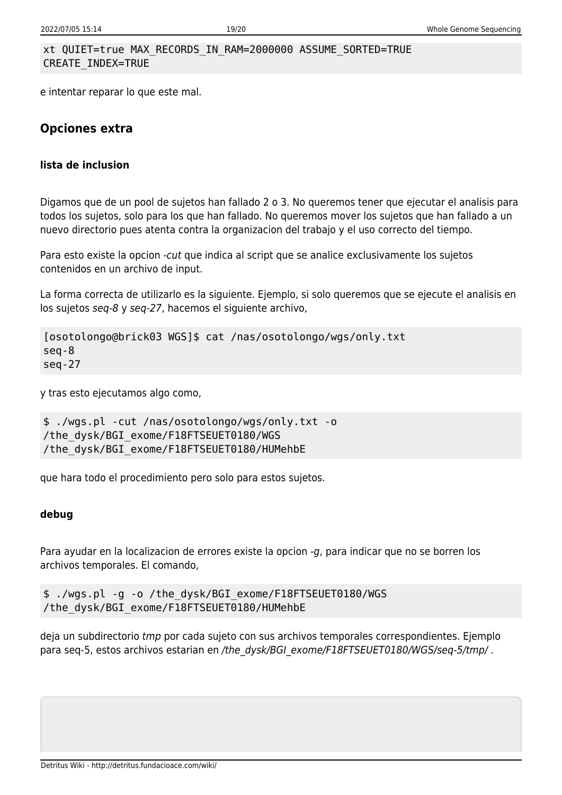#### xt QUIET=true MAX\_RECORDS\_IN\_RAM=2000000 ASSUME\_SORTED=TRUE CREATE\_INDEX=TRUE

e intentar reparar lo que este mal.

## **Opciones extra**

#### **lista de inclusion**

Digamos que de un pool de sujetos han fallado 2 o 3. No queremos tener que ejecutar el analisis para todos los sujetos, solo para los que han fallado. No queremos mover los sujetos que han fallado a un nuevo directorio pues atenta contra la organizacion del trabajo y el uso correcto del tiempo.

Para esto existe la opcion -cut que indica al script que se analice exclusivamente los sujetos contenidos en un archivo de input.

La forma correcta de utilizarlo es la siguiente. Ejemplo, si solo queremos que se ejecute el analisis en los sujetos seq-8 y seq-27, hacemos el siguiente archivo,

```
[osotolongo@brick03 WGS]$ cat /nas/osotolongo/wgs/only.txt
seq-8
seq-27
```
y tras esto ejecutamos algo como,

```
$ ./wgs.pl -cut /nas/osotolongo/wgs/only.txt -o
/the_dysk/BGI_exome/F18FTSEUET0180/WGS
/the_dysk/BGI_exome/F18FTSEUET0180/HUMehbE
```
que hara todo el procedimiento pero solo para estos sujetos.

#### **debug**

Para ayudar en la localizacion de errores existe la opcion -g, para indicar que no se borren los archivos temporales. El comando,

```
$ ./wgs.pl -g -o /the_dysk/BGI_exome/F18FTSEUET0180/WGS
/the_dysk/BGI_exome/F18FTSEUET0180/HUMehbE
```
deja un subdirectorio tmp por cada sujeto con sus archivos temporales correspondientes. Ejemplo para seq-5, estos archivos estarian en /the\_dysk/BGI\_exome/F18FTSEUET0180/WGS/seq-5/tmp/.